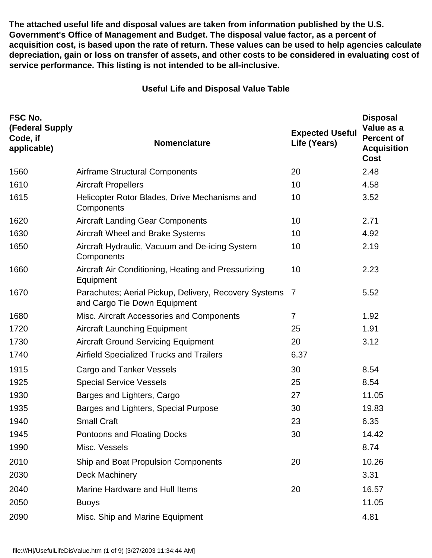**The attached useful life and disposal values are taken from information published by the U.S. Government's Office of Management and Budget. The disposal value factor, as a percent of acquisition cost, is based upon the rate of return. These values can be used to help agencies calculate depreciation, gain or loss on transfer of assets, and other costs to be considered in evaluating cost of service performance. This listing is not intended to be all-inclusive.**

## **Useful Life and Disposal Value Table**

| FSC No.<br>(Federal Supply<br>Code, if<br>applicable) | Nomenclature                                                                          | <b>Expected Useful</b><br>Life (Years) | <b>Disposal</b><br>Value as a<br><b>Percent of</b><br><b>Acquisition</b><br><b>Cost</b> |
|-------------------------------------------------------|---------------------------------------------------------------------------------------|----------------------------------------|-----------------------------------------------------------------------------------------|
| 1560                                                  | <b>Airframe Structural Components</b>                                                 | 20                                     | 2.48                                                                                    |
| 1610                                                  | <b>Aircraft Propellers</b>                                                            | 10                                     | 4.58                                                                                    |
| 1615                                                  | Helicopter Rotor Blades, Drive Mechanisms and<br>Components                           | 10                                     | 3.52                                                                                    |
| 1620                                                  | <b>Aircraft Landing Gear Components</b>                                               | 10                                     | 2.71                                                                                    |
| 1630                                                  | <b>Aircraft Wheel and Brake Systems</b>                                               | 10                                     | 4.92                                                                                    |
| 1650                                                  | Aircraft Hydraulic, Vacuum and De-icing System<br>Components                          | 10                                     | 2.19                                                                                    |
| 1660                                                  | Aircraft Air Conditioning, Heating and Pressurizing<br>Equipment                      | 10                                     | 2.23                                                                                    |
| 1670                                                  | Parachutes; Aerial Pickup, Delivery, Recovery Systems<br>and Cargo Tie Down Equipment | $\overline{7}$                         | 5.52                                                                                    |
| 1680                                                  | Misc. Aircraft Accessories and Components                                             | 7                                      | 1.92                                                                                    |
| 1720                                                  | <b>Aircraft Launching Equipment</b>                                                   | 25                                     | 1.91                                                                                    |
| 1730                                                  | <b>Aircraft Ground Servicing Equipment</b>                                            | 20                                     | 3.12                                                                                    |
| 1740                                                  | <b>Airfield Specialized Trucks and Trailers</b>                                       | 6.37                                   |                                                                                         |
| 1915                                                  | Cargo and Tanker Vessels                                                              | 30                                     | 8.54                                                                                    |
| 1925                                                  | <b>Special Service Vessels</b>                                                        | 25                                     | 8.54                                                                                    |
| 1930                                                  | Barges and Lighters, Cargo                                                            | 27                                     | 11.05                                                                                   |
| 1935                                                  | Barges and Lighters, Special Purpose                                                  | 30                                     | 19.83                                                                                   |
| 1940                                                  | <b>Small Craft</b>                                                                    | 23                                     | 6.35                                                                                    |
| 1945                                                  | Pontoons and Floating Docks                                                           | 30                                     | 14.42                                                                                   |
| 1990                                                  | Misc. Vessels                                                                         |                                        | 8.74                                                                                    |
| 2010                                                  | Ship and Boat Propulsion Components                                                   | 20                                     | 10.26                                                                                   |
| 2030                                                  | Deck Machinery                                                                        |                                        | 3.31                                                                                    |
| 2040                                                  | <b>Marine Hardware and Hull Items</b>                                                 | 20                                     | 16.57                                                                                   |
| 2050                                                  | <b>Buoys</b>                                                                          |                                        | 11.05                                                                                   |
| 2090                                                  | Misc. Ship and Marine Equipment                                                       |                                        | 4.81                                                                                    |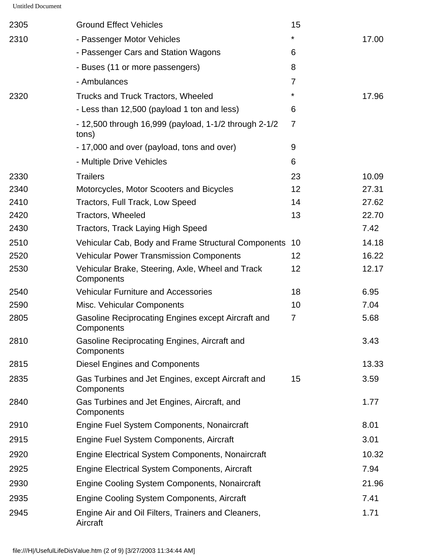| 2305 | <b>Ground Effect Vehicles</b>                                    | 15              |       |
|------|------------------------------------------------------------------|-----------------|-------|
| 2310 | - Passenger Motor Vehicles                                       | *               | 17.00 |
|      | - Passenger Cars and Station Wagons                              | 6               |       |
|      | - Buses (11 or more passengers)                                  | 8               |       |
|      | - Ambulances                                                     | $\overline{7}$  |       |
| 2320 | <b>Trucks and Truck Tractors, Wheeled</b>                        | $\star$         | 17.96 |
|      | - Less than 12,500 (payload 1 ton and less)                      | 6               |       |
|      | - 12,500 through 16,999 (payload, 1-1/2 through 2-1/2<br>tons)   | $\overline{7}$  |       |
|      | - 17,000 and over (payload, tons and over)                       | 9               |       |
|      | - Multiple Drive Vehicles                                        | 6               |       |
| 2330 | <b>Trailers</b>                                                  | 23              | 10.09 |
| 2340 | Motorcycles, Motor Scooters and Bicycles                         | 12              | 27.31 |
| 2410 | Tractors, Full Track, Low Speed                                  | 14              | 27.62 |
| 2420 | Tractors, Wheeled                                                | 13              | 22.70 |
| 2430 | <b>Tractors, Track Laying High Speed</b>                         |                 | 7.42  |
| 2510 | Vehicular Cab, Body and Frame Structural Components              | 10              | 14.18 |
| 2520 | <b>Vehicular Power Transmission Components</b>                   | 12 <sub>2</sub> | 16.22 |
| 2530 | Vehicular Brake, Steering, Axle, Wheel and Track<br>Components   | 12 <sub>2</sub> | 12.17 |
| 2540 | <b>Vehicular Furniture and Accessories</b>                       | 18              | 6.95  |
| 2590 | Misc. Vehicular Components                                       | 10              | 7.04  |
| 2805 | Gasoline Reciprocating Engines except Aircraft and<br>Components | $\overline{7}$  | 5.68  |
| 2810 | Gasoline Reciprocating Engines, Aircraft and<br>Components       |                 | 3.43  |
| 2815 | <b>Diesel Engines and Components</b>                             |                 | 13.33 |
| 2835 | Gas Turbines and Jet Engines, except Aircraft and<br>Components  | 15              | 3.59  |
| 2840 | Gas Turbines and Jet Engines, Aircraft, and<br>Components        |                 | 1.77  |
| 2910 | Engine Fuel System Components, Nonaircraft                       |                 | 8.01  |
| 2915 | Engine Fuel System Components, Aircraft                          |                 | 3.01  |
| 2920 | <b>Engine Electrical System Components, Nonaircraft</b>          |                 | 10.32 |
| 2925 | Engine Electrical System Components, Aircraft                    |                 | 7.94  |
| 2930 | <b>Engine Cooling System Components, Nonaircraft</b>             |                 | 21.96 |
| 2935 | Engine Cooling System Components, Aircraft                       |                 | 7.41  |
| 2945 | Engine Air and Oil Filters, Trainers and Cleaners,<br>Aircraft   |                 | 1.71  |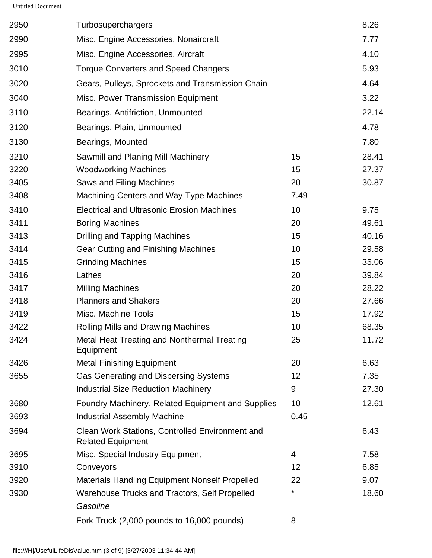| 2950 | Turbosuperchargers                                                          |      | 8.26  |
|------|-----------------------------------------------------------------------------|------|-------|
| 2990 | Misc. Engine Accessories, Nonaircraft                                       |      | 7.77  |
| 2995 | Misc. Engine Accessories, Aircraft                                          |      | 4.10  |
| 3010 | <b>Torque Converters and Speed Changers</b>                                 |      | 5.93  |
| 3020 | Gears, Pulleys, Sprockets and Transmission Chain                            |      | 4.64  |
| 3040 | Misc. Power Transmission Equipment                                          |      | 3.22  |
| 3110 | Bearings, Antifriction, Unmounted                                           |      | 22.14 |
| 3120 | Bearings, Plain, Unmounted                                                  |      | 4.78  |
| 3130 | Bearings, Mounted                                                           |      | 7.80  |
| 3210 | Sawmill and Planing Mill Machinery                                          | 15   | 28.41 |
| 3220 | <b>Woodworking Machines</b>                                                 | 15   | 27.37 |
| 3405 | Saws and Filing Machines                                                    | 20   | 30.87 |
| 3408 | Machining Centers and Way-Type Machines                                     | 7.49 |       |
| 3410 | <b>Electrical and Ultrasonic Erosion Machines</b>                           | 10   | 9.75  |
| 3411 | <b>Boring Machines</b>                                                      | 20   | 49.61 |
| 3413 | <b>Drilling and Tapping Machines</b>                                        | 15   | 40.16 |
| 3414 | <b>Gear Cutting and Finishing Machines</b>                                  | 10   | 29.58 |
| 3415 | <b>Grinding Machines</b>                                                    | 15   | 35.06 |
| 3416 | Lathes                                                                      | 20   | 39.84 |
| 3417 | <b>Milling Machines</b>                                                     | 20   | 28.22 |
| 3418 | <b>Planners and Shakers</b>                                                 | 20   | 27.66 |
| 3419 | Misc. Machine Tools                                                         | 15   | 17.92 |
| 3422 | <b>Rolling Mills and Drawing Machines</b>                                   | 10   | 68.35 |
| 3424 | Metal Heat Treating and Nonthermal Treating<br>Equipment                    | 25   | 11.72 |
| 3426 | <b>Metal Finishing Equipment</b>                                            | 20   | 6.63  |
| 3655 | <b>Gas Generating and Dispersing Systems</b>                                | 12   | 7.35  |
|      | <b>Industrial Size Reduction Machinery</b>                                  | 9    | 27.30 |
| 3680 | <b>Foundry Machinery, Related Equipment and Supplies</b>                    | 10   | 12.61 |
| 3693 | <b>Industrial Assembly Machine</b>                                          | 0.45 |       |
| 3694 | Clean Work Stations, Controlled Environment and<br><b>Related Equipment</b> |      | 6.43  |
| 3695 | Misc. Special Industry Equipment                                            | 4    | 7.58  |
| 3910 | Conveyors                                                                   | 12   | 6.85  |
| 3920 | <b>Materials Handling Equipment Nonself Propelled</b>                       | 22   | 9.07  |
| 3930 | Warehouse Trucks and Tractors, Self Propelled<br>Gasoline                   | *    | 18.60 |
|      | Fork Truck (2,000 pounds to 16,000 pounds)                                  | 8    |       |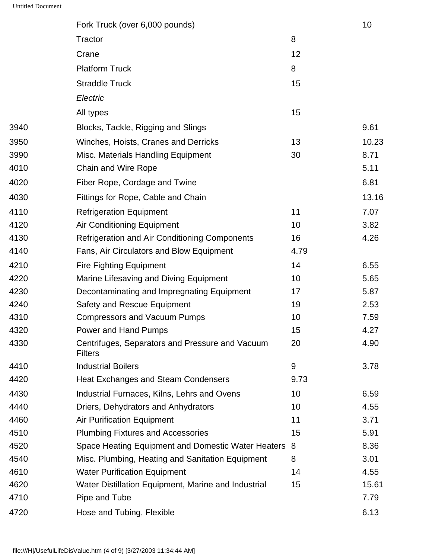|      | Fork Truck (over 6,000 pounds)                                    |      | 10    |
|------|-------------------------------------------------------------------|------|-------|
|      | Tractor                                                           | 8    |       |
|      | Crane                                                             | 12   |       |
|      | <b>Platform Truck</b>                                             | 8    |       |
|      | <b>Straddle Truck</b>                                             | 15   |       |
|      | Electric                                                          |      |       |
|      | All types                                                         | 15   |       |
| 3940 | Blocks, Tackle, Rigging and Slings                                |      | 9.61  |
| 3950 | Winches, Hoists, Cranes and Derricks                              | 13   | 10.23 |
| 3990 | Misc. Materials Handling Equipment                                | 30   | 8.71  |
| 4010 | <b>Chain and Wire Rope</b>                                        |      | 5.11  |
| 4020 | Fiber Rope, Cordage and Twine                                     |      | 6.81  |
| 4030 | Fittings for Rope, Cable and Chain                                |      | 13.16 |
| 4110 | <b>Refrigeration Equipment</b>                                    | 11   | 7.07  |
| 4120 | <b>Air Conditioning Equipment</b>                                 | 10   | 3.82  |
| 4130 | Refrigeration and Air Conditioning Components                     | 16   | 4.26  |
| 4140 | Fans, Air Circulators and Blow Equipment                          | 4.79 |       |
| 4210 | <b>Fire Fighting Equipment</b>                                    | 14   | 6.55  |
| 4220 | Marine Lifesaving and Diving Equipment                            | 10   | 5.65  |
| 4230 | Decontaminating and Impregnating Equipment                        | 17   | 5.87  |
| 4240 | <b>Safety and Rescue Equipment</b>                                | 19   | 2.53  |
| 4310 | <b>Compressors and Vacuum Pumps</b>                               | 10   | 7.59  |
| 4320 | Power and Hand Pumps                                              | 15   | 4.27  |
| 4330 | Centrifuges, Separators and Pressure and Vacuum<br><b>Filters</b> | 20   | 4.90  |
| 4410 | <b>Industrial Boilers</b>                                         | 9    | 3.78  |
| 4420 | <b>Heat Exchanges and Steam Condensers</b>                        | 9.73 |       |
| 4430 | Industrial Furnaces, Kilns, Lehrs and Ovens                       | 10   | 6.59  |
| 4440 | Driers, Dehydrators and Anhydrators                               | 10   | 4.55  |
| 4460 | <b>Air Purification Equipment</b>                                 | 11   | 3.71  |
| 4510 | <b>Plumbing Fixtures and Accessories</b>                          | 15   | 5.91  |
| 4520 | Space Heating Equipment and Domestic Water Heaters                | 8    | 8.36  |
| 4540 | Misc. Plumbing, Heating and Sanitation Equipment                  | 8    | 3.01  |
| 4610 | <b>Water Purification Equipment</b>                               | 14   | 4.55  |
| 4620 | Water Distillation Equipment, Marine and Industrial               | 15   | 15.61 |
| 4710 | Pipe and Tube                                                     |      | 7.79  |
| 4720 | Hose and Tubing, Flexible                                         |      | 6.13  |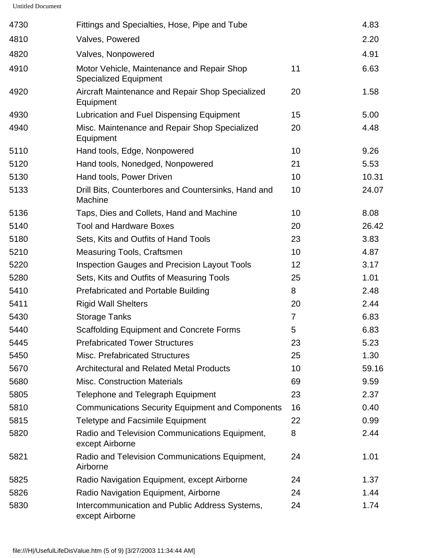| 4730 | Fittings and Specialties, Hose, Pipe and Tube                              |                | 4.83  |
|------|----------------------------------------------------------------------------|----------------|-------|
| 4810 | Valves, Powered                                                            |                | 2.20  |
| 4820 | Valves, Nonpowered                                                         |                | 4.91  |
| 4910 | Motor Vehicle, Maintenance and Repair Shop<br><b>Specialized Equipment</b> | 11             | 6.63  |
| 4920 | Aircraft Maintenance and Repair Shop Specialized<br>Equipment              | 20             | 1.58  |
| 4930 | Lubrication and Fuel Dispensing Equipment                                  | 15             | 5.00  |
| 4940 | Misc. Maintenance and Repair Shop Specialized<br>Equipment                 | 20             | 4.48  |
| 5110 | Hand tools, Edge, Nonpowered                                               | 10             | 9.26  |
| 5120 | Hand tools, Nonedged, Nonpowered                                           | 21             | 5.53  |
| 5130 | Hand tools, Power Driven                                                   | 10             | 10.31 |
| 5133 | Drill Bits, Counterbores and Countersinks, Hand and<br>Machine             | 10             | 24.07 |
| 5136 | Taps, Dies and Collets, Hand and Machine                                   | 10             | 8.08  |
| 5140 | <b>Tool and Hardware Boxes</b>                                             | 20             | 26.42 |
| 5180 | Sets, Kits and Outfits of Hand Tools                                       | 23             | 3.83  |
| 5210 | <b>Measuring Tools, Craftsmen</b>                                          | 10             | 4.87  |
| 5220 | <b>Inspection Gauges and Precision Layout Tools</b>                        | 12             | 3.17  |
| 5280 | Sets, Kits and Outfits of Measuring Tools                                  | 25             | 1.01  |
| 5410 | <b>Prefabricated and Portable Building</b>                                 | 8              | 2.48  |
| 5411 | <b>Rigid Wall Shelters</b>                                                 | 20             | 2.44  |
| 5430 | <b>Storage Tanks</b>                                                       | $\overline{7}$ | 6.83  |
| 5440 | <b>Scaffolding Equipment and Concrete Forms</b>                            | 5              | 6.83  |
| 5445 | <b>Prefabricated Tower Structures</b>                                      | 23             | 5.23  |
| 5450 | <b>Misc. Prefabricated Structures</b>                                      | 25             | 1.30  |
| 5670 | <b>Architectural and Related Metal Products</b>                            | 10             | 59.16 |
| 5680 | <b>Misc. Construction Materials</b>                                        | 69             | 9.59  |
| 5805 | <b>Telephone and Telegraph Equipment</b>                                   | 23             | 2.37  |
| 5810 | <b>Communications Security Equipment and Components</b>                    | 16             | 0.40  |
| 5815 | <b>Teletype and Facsimile Equipment</b>                                    | 22             | 0.99  |
| 5820 | Radio and Television Communications Equipment,<br>except Airborne          | 8              | 2.44  |
| 5821 | Radio and Television Communications Equipment,<br>Airborne                 | 24             | 1.01  |
| 5825 | Radio Navigation Equipment, except Airborne                                | 24             | 1.37  |
| 5826 | Radio Navigation Equipment, Airborne                                       | 24             | 1.44  |
| 5830 | Intercommunication and Public Address Systems,<br>except Airborne          | 24             | 1.74  |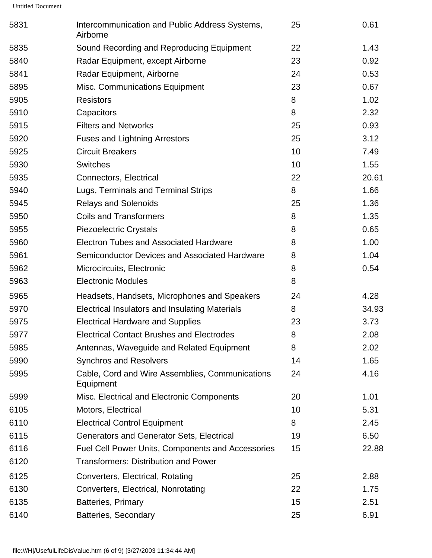| 5831 | Intercommunication and Public Address Systems,<br>Airborne   | 25 | 0.61  |
|------|--------------------------------------------------------------|----|-------|
| 5835 | Sound Recording and Reproducing Equipment                    | 22 | 1.43  |
| 5840 | Radar Equipment, except Airborne                             | 23 | 0.92  |
| 5841 | Radar Equipment, Airborne                                    | 24 | 0.53  |
| 5895 | Misc. Communications Equipment                               | 23 | 0.67  |
| 5905 | <b>Resistors</b>                                             | 8  | 1.02  |
| 5910 | Capacitors                                                   | 8  | 2.32  |
| 5915 | <b>Filters and Networks</b>                                  | 25 | 0.93  |
| 5920 | <b>Fuses and Lightning Arrestors</b>                         | 25 | 3.12  |
| 5925 | <b>Circuit Breakers</b>                                      | 10 | 7.49  |
| 5930 | <b>Switches</b>                                              | 10 | 1.55  |
| 5935 | Connectors, Electrical                                       | 22 | 20.61 |
| 5940 | Lugs, Terminals and Terminal Strips                          | 8  | 1.66  |
| 5945 | <b>Relays and Solenoids</b>                                  | 25 | 1.36  |
| 5950 | <b>Coils and Transformers</b>                                | 8  | 1.35  |
| 5955 | <b>Piezoelectric Crystals</b>                                | 8  | 0.65  |
| 5960 | <b>Electron Tubes and Associated Hardware</b>                | 8  | 1.00  |
| 5961 | Semiconductor Devices and Associated Hardware                | 8  | 1.04  |
| 5962 | Microcircuits, Electronic                                    | 8  | 0.54  |
| 5963 | <b>Electronic Modules</b>                                    | 8  |       |
| 5965 | Headsets, Handsets, Microphones and Speakers                 | 24 | 4.28  |
| 5970 | Electrical Insulators and Insulating Materials               | 8  | 34.93 |
| 5975 | <b>Electrical Hardware and Supplies</b>                      | 23 | 3.73  |
| 5977 | <b>Electrical Contact Brushes and Electrodes</b>             | 8  | 2.08  |
| 5985 | Antennas, Waveguide and Related Equipment                    | 8  | 2.02  |
| 5990 | <b>Synchros and Resolvers</b>                                | 14 | 1.65  |
| 5995 | Cable, Cord and Wire Assemblies, Communications<br>Equipment | 24 | 4.16  |
| 5999 | Misc. Electrical and Electronic Components                   | 20 | 1.01  |
| 6105 | Motors, Electrical                                           | 10 | 5.31  |
| 6110 | <b>Electrical Control Equipment</b>                          | 8  | 2.45  |
| 6115 | Generators and Generator Sets, Electrical                    | 19 | 6.50  |
| 6116 | <b>Fuel Cell Power Units, Components and Accessories</b>     | 15 | 22.88 |
| 6120 | <b>Transformers: Distribution and Power</b>                  |    |       |
| 6125 | Converters, Electrical, Rotating                             | 25 | 2.88  |
| 6130 | Converters, Electrical, Nonrotating                          | 22 | 1.75  |
| 6135 | <b>Batteries, Primary</b>                                    | 15 | 2.51  |
| 6140 | Batteries, Secondary                                         | 25 | 6.91  |
|      |                                                              |    |       |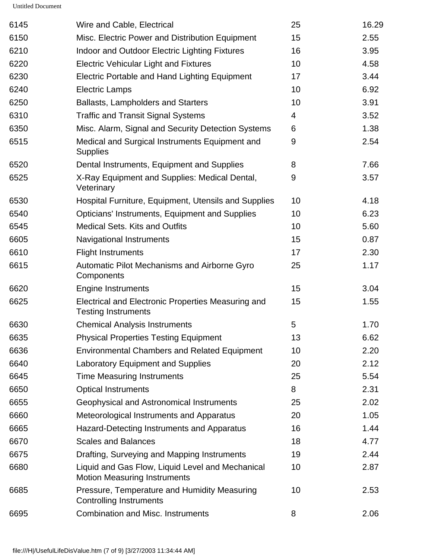| 6145 | Wire and Cable, Electrical                                                              | 25 | 16.29 |
|------|-----------------------------------------------------------------------------------------|----|-------|
| 6150 | Misc. Electric Power and Distribution Equipment                                         | 15 | 2.55  |
| 6210 | Indoor and Outdoor Electric Lighting Fixtures                                           | 16 | 3.95  |
| 6220 | <b>Electric Vehicular Light and Fixtures</b>                                            | 10 | 4.58  |
| 6230 | Electric Portable and Hand Lighting Equipment                                           | 17 | 3.44  |
| 6240 | <b>Electric Lamps</b>                                                                   | 10 | 6.92  |
| 6250 | <b>Ballasts, Lampholders and Starters</b>                                               | 10 | 3.91  |
| 6310 | <b>Traffic and Transit Signal Systems</b>                                               | 4  | 3.52  |
| 6350 | Misc. Alarm, Signal and Security Detection Systems                                      | 6  | 1.38  |
| 6515 | Medical and Surgical Instruments Equipment and<br><b>Supplies</b>                       | 9  | 2.54  |
| 6520 | Dental Instruments, Equipment and Supplies                                              | 8  | 7.66  |
| 6525 | X-Ray Equipment and Supplies: Medical Dental,<br>Veterinary                             | 9  | 3.57  |
| 6530 | Hospital Furniture, Equipment, Utensils and Supplies                                    | 10 | 4.18  |
| 6540 | Opticians' Instruments, Equipment and Supplies                                          | 10 | 6.23  |
| 6545 | <b>Medical Sets. Kits and Outfits</b>                                                   | 10 | 5.60  |
| 6605 | Navigational Instruments                                                                | 15 | 0.87  |
| 6610 | <b>Flight Instruments</b>                                                               | 17 | 2.30  |
| 6615 | Automatic Pilot Mechanisms and Airborne Gyro<br>Components                              | 25 | 1.17  |
| 6620 | <b>Engine Instruments</b>                                                               | 15 | 3.04  |
| 6625 | Electrical and Electronic Properties Measuring and<br><b>Testing Instruments</b>        | 15 | 1.55  |
| 6630 | <b>Chemical Analysis Instruments</b>                                                    | 5  | 1.70  |
| 6635 | <b>Physical Properties Testing Equipment</b>                                            | 13 | 6.62  |
| 6636 | <b>Environmental Chambers and Related Equipment</b>                                     | 10 | 2.20  |
| 6640 | <b>Laboratory Equipment and Supplies</b>                                                | 20 | 2.12  |
| 6645 | <b>Time Measuring Instruments</b>                                                       | 25 | 5.54  |
| 6650 | <b>Optical Instruments</b>                                                              | 8  | 2.31  |
| 6655 | Geophysical and Astronomical Instruments                                                | 25 | 2.02  |
| 6660 | Meteorological Instruments and Apparatus                                                | 20 | 1.05  |
| 6665 | Hazard-Detecting Instruments and Apparatus                                              | 16 | 1.44  |
| 6670 | <b>Scales and Balances</b>                                                              | 18 | 4.77  |
| 6675 | Drafting, Surveying and Mapping Instruments                                             | 19 | 2.44  |
| 6680 | Liquid and Gas Flow, Liquid Level and Mechanical<br><b>Motion Measuring Instruments</b> | 10 | 2.87  |
| 6685 | Pressure, Temperature and Humidity Measuring<br><b>Controlling Instruments</b>          | 10 | 2.53  |
| 6695 | <b>Combination and Misc. Instruments</b>                                                | 8  | 2.06  |
|      |                                                                                         |    |       |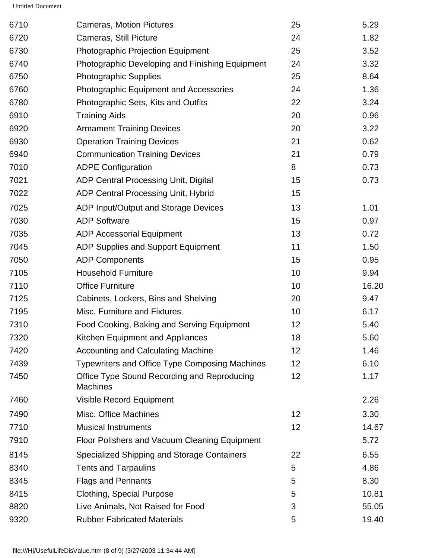| 6710 | <b>Cameras, Motion Pictures</b>                                | 25 | 5.29  |
|------|----------------------------------------------------------------|----|-------|
| 6720 | Cameras, Still Picture                                         | 24 | 1.82  |
| 6730 | <b>Photographic Projection Equipment</b>                       | 25 | 3.52  |
| 6740 | Photographic Developing and Finishing Equipment                | 24 | 3.32  |
| 6750 | <b>Photographic Supplies</b>                                   | 25 | 8.64  |
| 6760 | <b>Photographic Equipment and Accessories</b>                  | 24 | 1.36  |
| 6780 | Photographic Sets, Kits and Outfits                            | 22 | 3.24  |
| 6910 | <b>Training Aids</b>                                           | 20 | 0.96  |
| 6920 | <b>Armament Training Devices</b>                               | 20 | 3.22  |
| 6930 | <b>Operation Training Devices</b>                              | 21 | 0.62  |
| 6940 | <b>Communication Training Devices</b>                          | 21 | 0.79  |
| 7010 | <b>ADPE Configuration</b>                                      | 8  | 0.73  |
| 7021 | <b>ADP Central Processing Unit, Digital</b>                    | 15 | 0.73  |
| 7022 | <b>ADP Central Processing Unit, Hybrid</b>                     | 15 |       |
| 7025 | ADP Input/Output and Storage Devices                           | 13 | 1.01  |
| 7030 | <b>ADP Software</b>                                            | 15 | 0.97  |
| 7035 | <b>ADP Accessorial Equipment</b>                               | 13 | 0.72  |
| 7045 | <b>ADP Supplies and Support Equipment</b>                      | 11 | 1.50  |
| 7050 | <b>ADP Components</b>                                          | 15 | 0.95  |
| 7105 | <b>Household Furniture</b>                                     | 10 | 9.94  |
| 7110 | <b>Office Furniture</b>                                        | 10 | 16.20 |
| 7125 | Cabinets, Lockers, Bins and Shelving                           | 20 | 9.47  |
| 7195 | Misc. Furniture and Fixtures                                   | 10 | 6.17  |
| 7310 | Food Cooking, Baking and Serving Equipment                     | 12 | 5.40  |
| 7320 | Kitchen Equipment and Appliances                               | 18 | 5.60  |
| 7420 | <b>Accounting and Calculating Machine</b>                      | 12 | 1.46  |
| 7439 | <b>Typewriters and Office Type Composing Machines</b>          | 12 | 6.10  |
| 7450 | Office Type Sound Recording and Reproducing<br><b>Machines</b> | 12 | 1.17  |
| 7460 | <b>Visible Record Equipment</b>                                |    | 2.26  |
| 7490 | Misc. Office Machines                                          | 12 | 3.30  |
| 7710 | <b>Musical Instruments</b>                                     | 12 | 14.67 |
| 7910 | Floor Polishers and Vacuum Cleaning Equipment                  |    | 5.72  |
| 8145 | Specialized Shipping and Storage Containers                    | 22 | 6.55  |
| 8340 | <b>Tents and Tarpaulins</b>                                    | 5  | 4.86  |
| 8345 | <b>Flags and Pennants</b>                                      | 5  | 8.30  |
| 8415 | Clothing, Special Purpose                                      | 5  | 10.81 |
| 8820 | Live Animals, Not Raised for Food                              | 3  | 55.05 |
| 9320 | <b>Rubber Fabricated Materials</b>                             | 5  | 19.40 |
|      |                                                                |    |       |